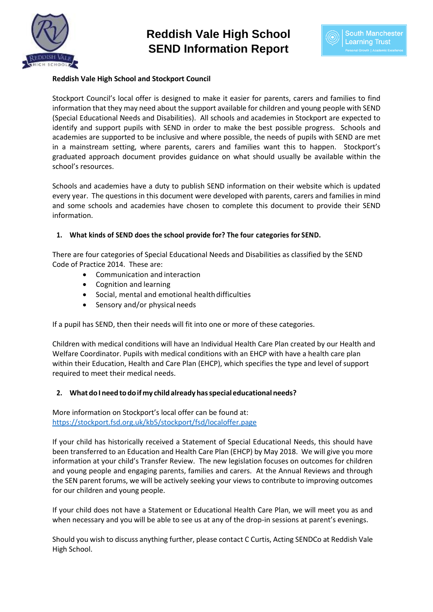



#### **Reddish Vale High School and Stockport Council**

Stockport Council's local offer is designed to make it easier for parents, carers and families to find information that they may need about the support available for children and young people with SEND (Special Educational Needs and Disabilities). All schools and academies in Stockport are expected to identify and support pupils with SEND in order to make the best possible progress. Schools and academies are supported to be inclusive and where possible, the needs of pupils with SEND are met in a mainstream setting, where parents, carers and families want this to happen. Stockport's graduated approach document provides guidance on what should usually be available within the school's resources.

Schools and academies have a duty to publish SEND information on their website which is updated every year. The questions in this document were developed with parents, carers and families in mind and some schools and academies have chosen to complete this document to provide their SEND information.

#### **1. What kinds of SEND does the school provide for? The four categories for SEND.**

There are four categories of Special Educational Needs and Disabilities as classified by the SEND Code of Practice 2014. These are:

- Communication and interaction
- Cognition and learning
- Social, mental and emotional health difficulties
- Sensory and/or physical needs

If a pupil has SEND, then their needs will fit into one or more of these categories.

Children with medical conditions will have an Individual Health Care Plan created by our Health and Welfare Coordinator. Pupils with medical conditions with an EHCP with have a health care plan within their Education, Health and Care Plan (EHCP), which specifies the type and level of support required to meet their medical needs.

#### **2. WhatdoI needtodoifmy childalready hasspecialeducational needs?**

More information on Stockport's local offer can be found at: <https://stockport.fsd.org.uk/kb5/stockport/fsd/localoffer.page>

If your child has historically received a Statement of Special Educational Needs, this should have been transferred to an Education and Health Care Plan (EHCP) by May 2018. We will give you more information at your child's Transfer Review. The new legislation focuses on outcomes for children and young people and engaging parents, families and carers. At the Annual Reviews and through the SEN parent forums, we will be actively seeking your views to contribute to improving outcomes for our children and young people.

If your child does not have a Statement or Educational Health Care Plan, we will meet you as and when necessary and you will be able to see us at any of the drop-in sessions at parent's evenings.

Should you wish to discuss anything further, please contact C Curtis, Acting SENDCo at Reddish Vale High School.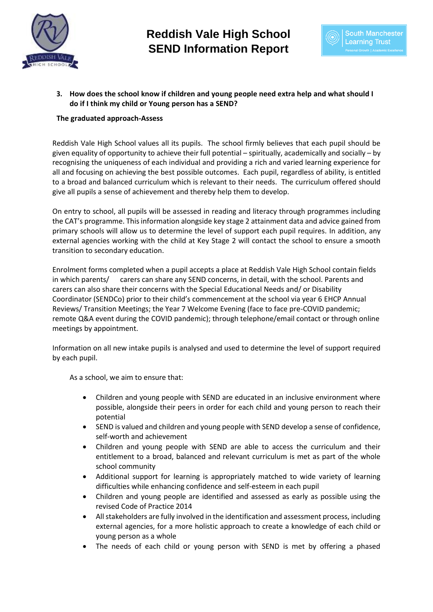



# **3. How does the school know if children and young people need extra help and what should I do if I think my child or Young person has a SEND?**

#### **The graduated approach-Assess**

Reddish Vale High School values all its pupils. The school firmly believes that each pupil should be given equality of opportunity to achieve their full potential – spiritually, academically and socially – by recognising the uniqueness of each individual and providing a rich and varied learning experience for all and focusing on achieving the best possible outcomes. Each pupil, regardless of ability, is entitled to a broad and balanced curriculum which is relevant to their needs. The curriculum offered should give all pupils a sense of achievement and thereby help them to develop.

On entry to school, all pupils will be assessed in reading and literacy through programmes including the CAT's programme. This information alongside key stage 2 attainment data and advice gained from primary schools will allow us to determine the level of support each pupil requires. In addition, any external agencies working with the child at Key Stage 2 will contact the school to ensure a smooth transition to secondary education.

Enrolment forms completed when a pupil accepts a place at Reddish Vale High School contain fields in which parents/ carers can share any SEND concerns, in detail, with the school. Parents and carers can also share their concerns with the Special Educational Needs and/ or Disability Coordinator (SENDCo) prior to their child's commencement at the school via year 6 EHCP Annual Reviews/ Transition Meetings; the Year 7 Welcome Evening (face to face pre-COVID pandemic; remote Q&A event during the COVID pandemic); through telephone/email contact or through online meetings by appointment.

Information on all new intake pupils is analysed and used to determine the level of support required by each pupil.

As a school, we aim to ensure that:

- Children and young people with SEND are educated in an inclusive environment where possible, alongside their peers in order for each child and young person to reach their potential
- SEND is valued and children and young people with SEND develop a sense of confidence, self-worth and achievement
- Children and young people with SEND are able to access the curriculum and their entitlement to a broad, balanced and relevant curriculum is met as part of the whole school community
- Additional support for learning is appropriately matched to wide variety of learning difficulties while enhancing confidence and self-esteem in each pupil
- Children and young people are identified and assessed as early as possible using the revised Code of Practice 2014
- All stakeholders are fully involved in the identification and assessment process, including external agencies, for a more holistic approach to create a knowledge of each child or young person as a whole
- The needs of each child or young person with SEND is met by offering a phased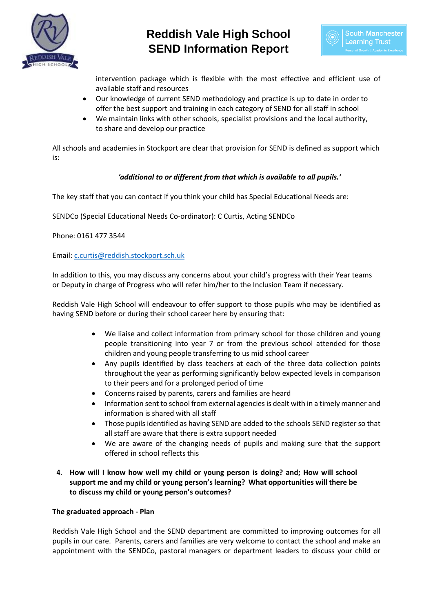



intervention package which is flexible with the most effective and efficient use of available staff and resources

- Our knowledge of current SEND methodology and practice is up to date in order to offer the best support and training in each category of SEND for all staff in school
- We maintain links with other schools, specialist provisions and the local authority, to share and develop our practice

All schools and academies in Stockport are clear that provision for SEND is defined as support which is:

# *'additional to or different from that which is available to all pupils.'*

The key staff that you can contact if you think your child has Special Educational Needs are:

SENDCo (Special Educational Needs Co-ordinator): C Curtis, Acting SENDCo

Phone: 0161 477 3544

Email: [c.curtis@reddish.stockport.sch.uk](mailto:c.curtis@reddish.stockport.sch.uk)

In addition to this, you may discuss any concerns about your child's progress with their Year teams or Deputy in charge of Progress who will refer him/her to the Inclusion Team if necessary.

Reddish Vale High School will endeavour to offer support to those pupils who may be identified as having SEND before or during their school career here by ensuring that:

- We liaise and collect information from primary school for those children and young people transitioning into year 7 or from the previous school attended for those children and young people transferring to us mid school career
- Any pupils identified by class teachers at each of the three data collection points throughout the year as performing significantly below expected levels in comparison to their peers and for a prolonged period of time
- Concerns raised by parents, carers and families are heard
- Information sent to school from external agencies is dealt with in a timely manner and information is shared with all staff
- Those pupils identified as having SEND are added to the schools SEND register so that all staff are aware that there is extra support needed
- We are aware of the changing needs of pupils and making sure that the support offered in school reflects this
- **4. How will I know how well my child or young person is doing? and; How will school support me and my child or young person's learning? What opportunities will there be to discuss my child or young person's outcomes?**

#### **The graduated approach - Plan**

Reddish Vale High School and the SEND department are committed to improving outcomes for all pupils in our care. Parents, carers and families are very welcome to contact the school and make an appointment with the SENDCo, pastoral managers or department leaders to discuss your child or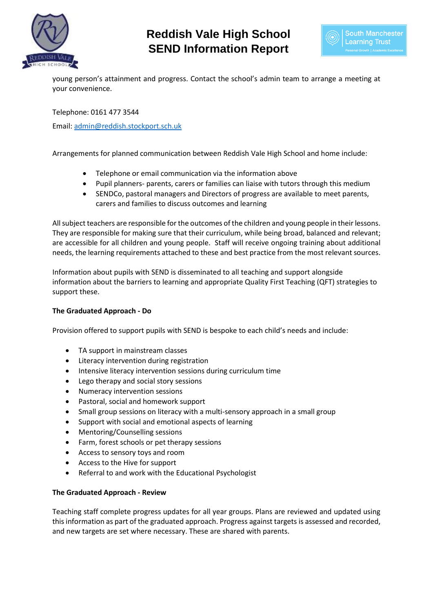



young person's attainment and progress. Contact the school's admin team to arrange a meeting at your convenience.

Telephone: 0161 477 3544

Email: [admin@reddish.stockport.sch.uk](mailto:admin@reddish.stockport.sch.uk)

Arrangements for planned communication between Reddish Vale High School and home include:

- Telephone or email communication via the information above
- Pupil planners- parents, carers or families can liaise with tutors through this medium
- SENDCo, pastoral managers and Directors of progress are available to meet parents, carers and families to discuss outcomes and learning

All subject teachers are responsible for the outcomes of the children and young people in their lessons. They are responsible for making sure that their curriculum, while being broad, balanced and relevant; are accessible for all children and young people. Staff will receive ongoing training about additional needs, the learning requirements attached to these and best practice from the most relevant sources.

Information about pupils with SEND is disseminated to all teaching and support alongside information about the barriers to learning and appropriate Quality First Teaching (QFT) strategies to support these.

# **The Graduated Approach - Do**

Provision offered to support pupils with SEND is bespoke to each child's needs and include:

- TA support in mainstream classes
- Literacy intervention during registration
- Intensive literacy intervention sessions during curriculum time
- Lego therapy and social story sessions
- Numeracy intervention sessions
- Pastoral, social and homework support
- Small group sessions on literacy with a multi-sensory approach in a small group
- Support with social and emotional aspects of learning
- Mentoring/Counselling sessions
- Farm, forest schools or pet therapy sessions
- Access to sensory toys and room
- Access to the Hive for support
- Referral to and work with the Educational Psychologist

#### **The Graduated Approach - Review**

Teaching staff complete progress updates for all year groups. Plans are reviewed and updated using this information as part of the graduated approach. Progress against targets is assessed and recorded, and new targets are set where necessary. These are shared with parents.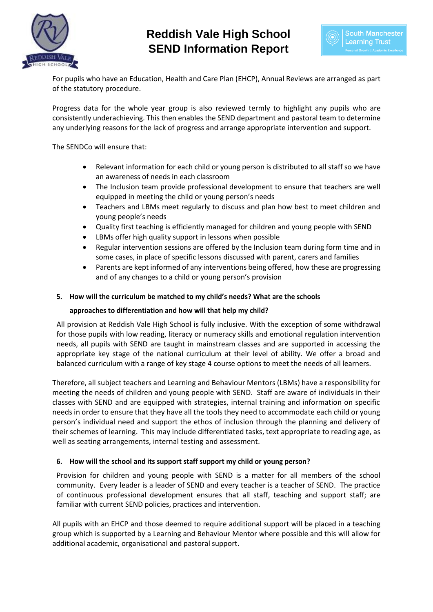



For pupils who have an Education, Health and Care Plan (EHCP), Annual Reviews are arranged as part of the statutory procedure.

Progress data for the whole year group is also reviewed termly to highlight any pupils who are consistently underachieving. This then enables the SEND department and pastoral team to determine any underlying reasons for the lack of progress and arrange appropriate intervention and support.

The SENDCo will ensure that:

- Relevant information for each child or young person is distributed to all staff so we have an awareness of needs in each classroom
- The Inclusion team provide professional development to ensure that teachers are well equipped in meeting the child or young person's needs
- Teachers and LBMs meet regularly to discuss and plan how best to meet children and young people's needs
- Quality first teaching is efficiently managed for children and young people with SEND
- LBMs offer high quality support in lessons when possible
- Regular intervention sessions are offered by the Inclusion team during form time and in some cases, in place of specific lessons discussed with parent, carers and families
- Parents are kept informed of any interventions being offered, how these are progressing and of any changes to a child or young person's provision

#### **5. How will the curriculum be matched to my child's needs? What are the schools**

#### **approaches to differentiation and how will that help my child?**

All provision at Reddish Vale High School is fully inclusive. With the exception of some withdrawal for those pupils with low reading, literacy or numeracy skills and emotional regulation intervention needs, all pupils with SEND are taught in mainstream classes and are supported in accessing the appropriate key stage of the national curriculum at their level of ability. We offer a broad and balanced curriculum with a range of key stage 4 course options to meet the needs of all learners.

Therefore, all subject teachers and Learning and Behaviour Mentors (LBMs) have a responsibility for meeting the needs of children and young people with SEND. Staff are aware of individuals in their classes with SEND and are equipped with strategies, internal training and information on specific needs in order to ensure that they have all the tools they need to accommodate each child or young person's individual need and support the ethos of inclusion through the planning and delivery of their schemes of learning. This may include differentiated tasks, text appropriate to reading age, as well as seating arrangements, internal testing and assessment.

#### **6. How will the school and its support staff support my child or young person?**

Provision for children and young people with SEND is a matter for all members of the school community. Every leader is a leader of SEND and every teacher is a teacher of SEND. The practice of continuous professional development ensures that all staff, teaching and support staff; are familiar with current SEND policies, practices and intervention.

All pupils with an EHCP and those deemed to require additional support will be placed in a teaching group which is supported by a Learning and Behaviour Mentor where possible and this will allow for additional academic, organisational and pastoral support.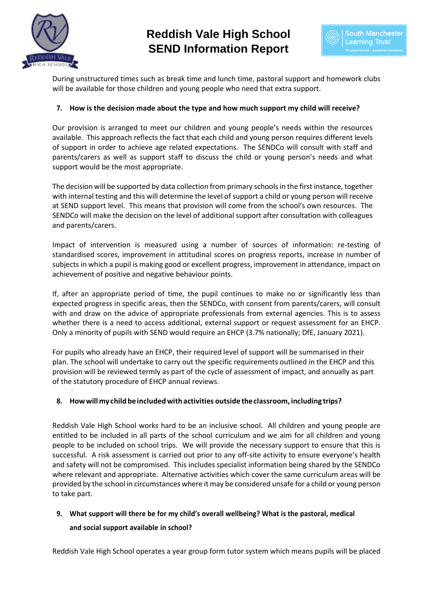



During unstructured times such as break time and lunch time, pastoral support and homework clubs will be available for those children and young people who need that extra support.

### **7. How is the decision made about the type and how much support my child will receive?**

Our provision is arranged to meet our children and young people's needs within the resources available. This approach reflects the fact that each child and young person requires different levels of support in order to achieve age related expectations. The SENDCo will consult with staff and parents/carers as well as support staff to discuss the child or young person's needs and what support would be the most appropriate.

The decision will be supported by data collection from primary schools in the first instance, together with internal testing and this will determine the level of support a child or young person will receive at SEND support level. This means that provision will come from the school's own resources. The SENDCo will make the decision on the level of additional support after consultation with colleagues and parents/carers.

Impact of intervention is measured using a number of sources of information: re-testing of standardised scores, improvement in attitudinal scores on progress reports, increase in number of subjects in which a pupil is making good or excellent progress, improvement in attendance, impact on achievement of positive and negative behaviour points.

If, after an appropriate period of time, the pupil continues to make no or significantly less than expected progress in specific areas, then the SENDCo, with consent from parents/carers, will consult with and draw on the advice of appropriate professionals from external agencies. This is to assess whether there is a need to access additional, external support or request assessment for an EHCP. Only a minority of pupils with SEND would require an EHCP (3.7% nationally; DfE, January 2021).

For pupils who already have an EHCP, their required level of support will be summarised in their plan. The school will undertake to carry out the specific requirements outlined in the EHCP and this provision will be reviewed termly as part of the cycle of assessment of impact, and annually as part of the statutory procedure of EHCP annual reviews.

# **8. Howwill my childbeincludedwithactivities outside theclassroom, including trips?**

Reddish Vale High School works hard to be an inclusive school. All children and young people are entitled to be included in all parts of the school curriculum and we aim for all children and young people to be included on school trips. We will provide the necessary support to ensure that this is successful. A risk assessment is carried out prior to any off-site activity to ensure everyone's health and safety will not be compromised. This includes specialist information being shared by the SENDCo where relevant and appropriate. Alternative activities which cover the same curriculum areas will be provided by the school in circumstances where it may be considered unsafe for a child or young person to take part.

# **9. What support will there be for my child's overall wellbeing? What is the pastoral, medical and social support available in school?**

Reddish Vale High School operates a year group form tutor system which means pupils will be placed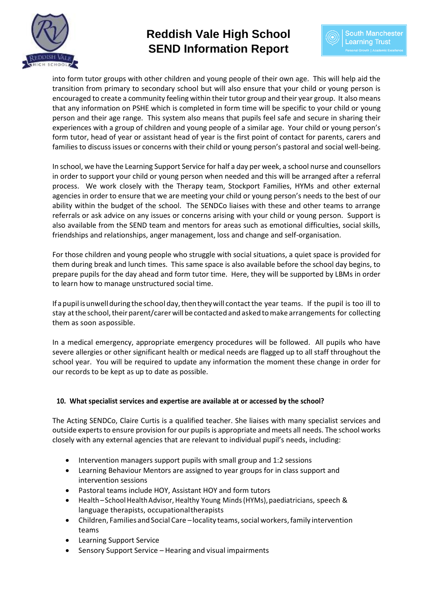



into form tutor groups with other children and young people of their own age. This will help aid the transition from primary to secondary school but will also ensure that your child or young person is encouraged to create a community feeling within their tutor group and their year group. It also means that any information on PSHE which is completed in form time will be specific to your child or young person and their age range. This system also means that pupils feel safe and secure in sharing their experiences with a group of children and young people of a similar age. Your child or young person's form tutor, head of year or assistant head of year is the first point of contact for parents, carers and families to discuss issues or concerns with their child or young person's pastoral and social well-being.

In school, we have the Learning Support Service for half a day per week, a school nurse and counsellors in order to support your child or young person when needed and this will be arranged after a referral process. We work closely with the Therapy team, Stockport Families, HYMs and other external agencies in order to ensure that we are meeting your child or young person's needs to the best of our ability within the budget of the school. The SENDCo liaises with these and other teams to arrange referrals or ask advice on any issues or concerns arising with your child or young person. Support is also available from the SEND team and mentors for areas such as emotional difficulties, social skills, friendships and relationships, anger management, loss and change and self-organisation.

For those children and young people who struggle with social situations, a quiet space is provided for them during break and lunch times. This same space is also available before the school day begins, to prepare pupils for the day ahead and form tutor time. Here, they will be supported by LBMs in order to learn how to manage unstructured social time.

Ifapupil isunwell duringthe school day,thentheywill contactthe year teams. If the pupil is too ill to stay at the school, their parent/carer will be contacted and asked to make arrangements for collecting them as soon aspossible.

In a medical emergency, appropriate emergency procedures will be followed. All pupils who have severe allergies or other significant health or medical needs are flagged up to all staff throughout the school year. You will be required to update any information the moment these change in order for our records to be kept as up to date as possible.

# **10. What specialist services and expertise are available at or accessed by the school?**

The Acting SENDCo, Claire Curtis is a qualified teacher. She liaises with many specialist services and outside experts to ensure provision for our pupils is appropriate and meets all needs. The school works closely with any external agencies that are relevant to individual pupil's needs, including:

- Intervention managers support pupils with small group and 1:2 sessions
- Learning Behaviour Mentors are assigned to year groups for in class support and intervention sessions
- Pastoral teams include HOY, Assistant HOY and form tutors
- Health School Health Advisor, Healthy Young Minds (HYMs), paediatricians, speech & language therapists, occupationaltherapists
- Children, Families and Social Care locality teams, social workers, family intervention teams
- Learning Support Service
- Sensory Support Service Hearing and visual impairments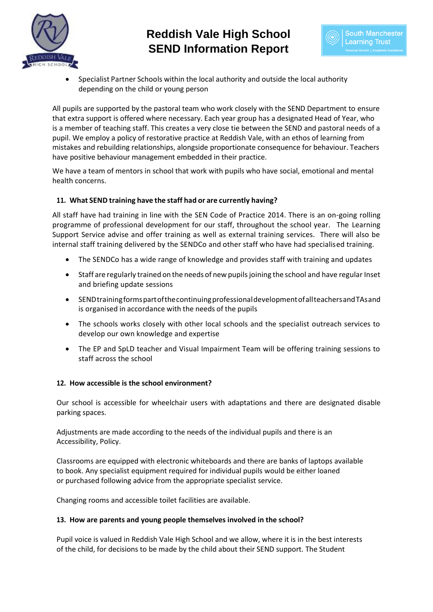



• Specialist Partner Schools within the local authority and outside the local authority depending on the child or young person

All pupils are supported by the pastoral team who work closely with the SEND Department to ensure that extra support is offered where necessary. Each year group has a designated Head of Year, who is a member of teaching staff. This creates a very close tie between the SEND and pastoral needs of a pupil. We employ a policy of restorative practice at Reddish Vale, with an ethos of learning from mistakes and rebuilding relationships, alongside proportionate consequence for behaviour. Teachers have positive behaviour management embedded in their practice.

We have a team of mentors in school that work with pupils who have social, emotional and mental health concerns.

# **11. What SEND training have the staff had or are currently having?**

All staff have had training in line with the SEN Code of Practice 2014. There is an on-going rolling programme of professional development for our staff, throughout the school year. The Learning Support Service advise and offer training as well as external training services. There will also be internal staff training delivered by the SENDCo and other staff who have had specialised training.

- The SENDCo has a wide range of knowledge and provides staff with training and updates
- Staff are regularly trained on the needs of new pupilsjoining the school and have regular Inset and briefing update sessions
- SENDtrainingformspartofthecontinuingprofessionaldevelopmentofallteachersandTAsand is organised in accordance with the needs of the pupils
- The schools works closely with other local schools and the specialist outreach services to develop our own knowledge and expertise
- The EP and SpLD teacher and Visual Impairment Team will be offering training sessions to staff across the school

# **12. How accessible is the school environment?**

Our school is accessible for wheelchair users with adaptations and there are designated disable parking spaces.

Adjustments are made according to the needs of the individual pupils and there is an Accessibility, Policy.

Classrooms are equipped with electronic whiteboards and there are banks of laptops available to book. Any specialist equipment required for individual pupils would be either loaned or purchased following advice from the appropriate specialist service.

Changing rooms and accessible toilet facilities are available.

#### **13. How are parents and young people themselves involved in the school?**

Pupil voice is valued in Reddish Vale High School and we allow, where it is in the best interests of the child, for decisions to be made by the child about their SEND support. The Student